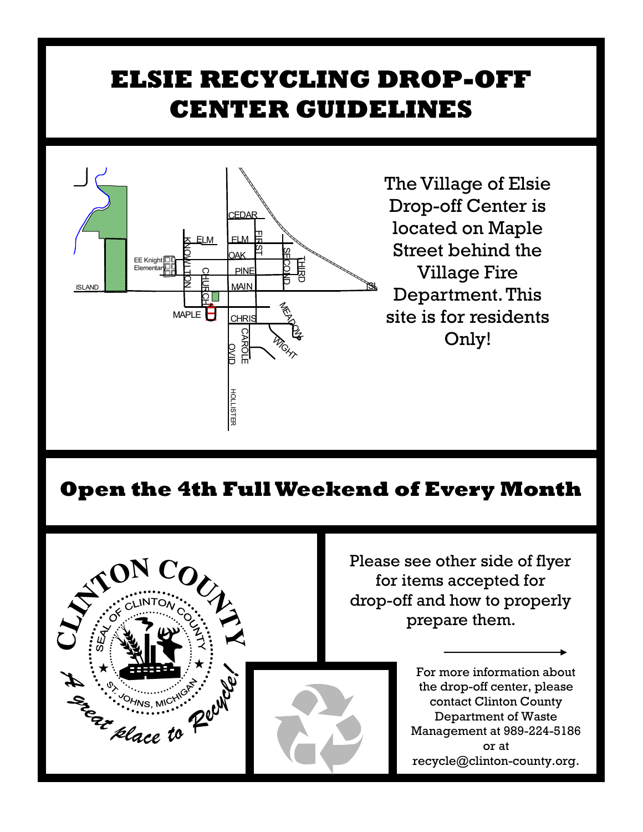## **ELSIE RECYCLING DROP-OFF CENTER GUIDELINES**



 $\mathbb{B}$  Department. This The Village of Elsie Drop-off Center is located on Maple Street behind the Village Fire site is for residents Only!

## **Open the 4th Full Weekend of Every Month**